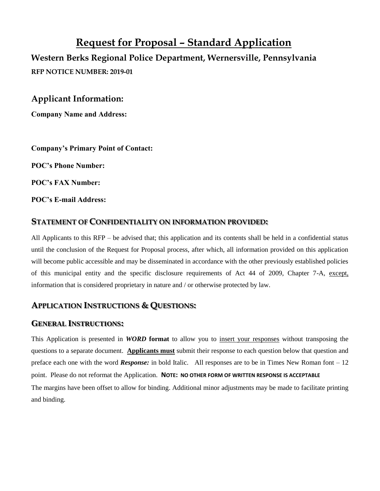# **Request for Proposal – Standard Application**

**Western Berks Regional Police Department, Wernersville, Pennsylvania RFP NOTICE NUMBER: 2019-01**

**Applicant Information:**

**Company Name and Address:**

**Company's Primary Point of Contact:**

**POC's Phone Number:**

**POC's FAX Number:**

**POC's E-mail Address:**

#### **STATEMENT OF CONFIDENTIALITY ON INFORMATION PROVIDED:**

All Applicants to this RFP – be advised that; this application and its contents shall be held in a confidential status until the conclusion of the Request for Proposal process, after which, all information provided on this application will become public accessible and may be disseminated in accordance with the other previously established policies of this municipal entity and the specific disclosure requirements of Act 44 of 2009, Chapter 7-A, except, information that is considered proprietary in nature and / or otherwise protected by law.

### **APPLICATION INSTRUCTIONS & QUESTIONS:**

#### **GENERAL INSTRUCTIONS:**

This Application is presented in *WORD* **format** to allow you to insert your responses without transposing the questions to a separate document. **Applicants must** submit their response to each question below that question and preface each one with the word *Response:* in bold Italic. All responses are to be in Times New Roman font – 12 point. Please do not reformat the Application. **NOTE: NO OTHER FORM OF WRITTEN RESPONSE IS ACCEPTABLE** The margins have been offset to allow for binding. Additional minor adjustments may be made to facilitate printing and binding.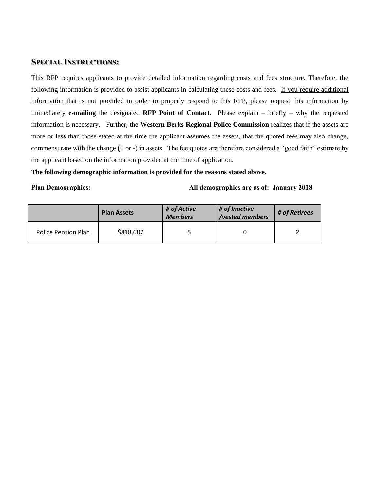#### **SPECIAL INSTRUCTIONS:**

This RFP requires applicants to provide detailed information regarding costs and fees structure. Therefore, the following information is provided to assist applicants in calculating these costs and fees. If you require additional information that is not provided in order to properly respond to this RFP, please request this information by immediately **e-mailing** the designated **RFP Point of Contact**. Please explain – briefly – why the requested information is necessary. Further, the **Western Berks Regional Police Commission** realizes that if the assets are more or less than those stated at the time the applicant assumes the assets, that the quoted fees may also change, commensurate with the change (+ or -) in assets. The fee quotes are therefore considered a "good faith" estimate by the applicant based on the information provided at the time of application.

#### **The following demographic information is provided for the reasons stated above.**

#### **Plan Demographics: All demographics are as of: January 2018**

|                     | <b>Plan Assets</b> | # of Active<br><b>Members</b> | # of Inactive<br>/vested members | # of Retirees |  |
|---------------------|--------------------|-------------------------------|----------------------------------|---------------|--|
| Police Pension Plan | \$818,687          |                               |                                  |               |  |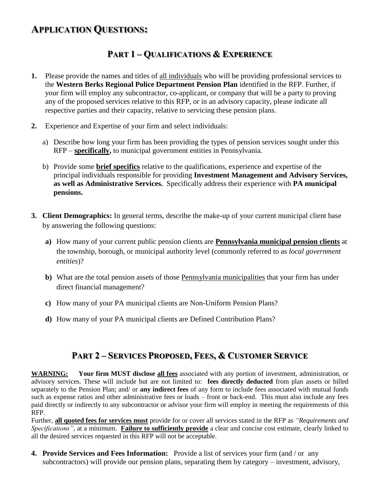# **APPLICATION QUESTIONS:**

# **PART 1 – QUALIFICATIONS & EXPERIENCE**

- **1.** Please provide the names and titles of all individuals who will be providing professional services to the **Western Berks Regional Police Department Pension Plan** identified in the RFP. Further, if your firm will employ any subcontractor, co-applicant, or company that will be a party to proving any of the proposed services relative to this RFP, or in an advisory capacity, please indicate all respective parties and their capacity, relative to servicing these pension plans.
- **2.** Experience and Expertise of your firm and select individuals:
	- a) Describe how long your firm has been providing the types of pension services sought under this RFP – **specifically,** to municipal government entities in Pennsylvania.
	- b) Provide some **brief specifics** relative to the qualifications, experience and expertise of the principal individuals responsible for providing **Investment Management and Advisory Services, as well as Administrative Services.** Specifically address their experience with **PA municipal pensions.**
- **3. Client Demographics:** In general terms, describe the make-up of your current municipal client base by answering the following questions:
	- **a)** How many of your current public pension clients are **Pennsylvania municipal pension clients** at the township, borough, or municipal authority level (commonly referred to as *local government entities*)?
	- **b)** What are the total pension assets of those Pennsylvania municipalities that your firm has under direct financial management?
	- **c)** How many of your PA municipal clients are Non-Uniform Pension Plans?
	- **d)** How many of your PA municipal clients are Defined Contribution Plans?

## **PART 2 – SERVICES PROPOSED, FEES, & CUSTOMER SERVICE**

**WARNING: Your firm MUST disclose all fees** associated with any portion of investment, administration, or advisory services. These will include but are not limited to: **fees directly deducted** from plan assets or billed separately to the Pension Plan; and/ or **any indirect fees** of any form to include fees associated with mutual funds such as expense ratios and other administrative fees or loads – front or back-end. This must also include any fees paid directly or indirectly to any subcontractor or advisor your firm will employ in meeting the requirements of this RFP.

Further, **all quoted fees for services must** provide for or cover all services stated in the RFP as *"Requirements and Specifications"*, at a minimum. **Failure to sufficiently provide** a clear and concise cost estimate, clearly linked to all the desired services requested in this RFP will not be acceptable.

**4. Provide Services and Fees Information:** Provide a list of services your firm (and / or any subcontractors) will provide our pension plans, separating them by category – investment, advisory,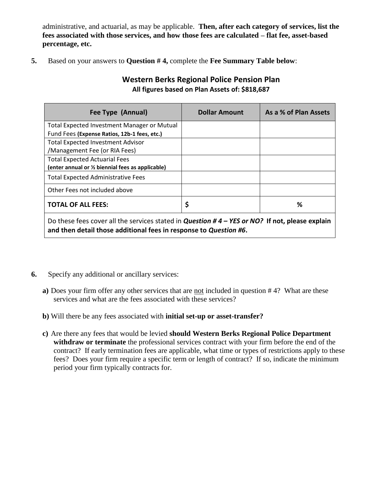administrative, and actuarial, as may be applicable. **Then, after each category of services, list the fees associated with those services, and how those fees are calculated – flat fee, asset-based percentage, etc.**

**5.** Based on your answers to **Question # 4,** complete the **Fee Summary Table below**:

### **Western Berks Regional Police Pension Plan All figures based on Plan Assets of: \$818,687**

| Fee Type (Annual)                                                                                      | <b>Dollar Amount</b> | As a % of Plan Assets |  |  |  |
|--------------------------------------------------------------------------------------------------------|----------------------|-----------------------|--|--|--|
| <b>Total Expected Investment Manager or Mutual</b>                                                     |                      |                       |  |  |  |
| Fund Fees (Expense Ratios, 12b-1 fees, etc.)                                                           |                      |                       |  |  |  |
| <b>Total Expected Investment Advisor</b>                                                               |                      |                       |  |  |  |
| /Management Fee (or RIA Fees)                                                                          |                      |                       |  |  |  |
| <b>Total Expected Actuarial Fees</b>                                                                   |                      |                       |  |  |  |
| (enter annual or 1/2 biennial fees as applicable)                                                      |                      |                       |  |  |  |
| <b>Total Expected Administrative Fees</b>                                                              |                      |                       |  |  |  |
| Other Fees not included above                                                                          |                      |                       |  |  |  |
| <b>TOTAL OF ALL FEES:</b>                                                                              | \$                   | ℅                     |  |  |  |
| Do these fees cover all the services stated in <i>Question # 4 – YES or NO?</i> If not, please explain |                      |                       |  |  |  |

**and then detail those additional fees in response to** *Question #6***.**

- **6.** Specify any additional or ancillary services:
	- **a)** Does your firm offer any other services that are not included in question # 4? What are these services and what are the fees associated with these services?
	- **b)** Will there be any fees associated with **initial set-up or asset-transfer?**
	- **c)** Are there any fees that would be levied **should Western Berks Regional Police Department withdraw or terminate** the professional services contract with your firm before the end of the contract? If early termination fees are applicable, what time or types of restrictions apply to these fees? Does your firm require a specific term or length of contract? If so, indicate the minimum period your firm typically contracts for.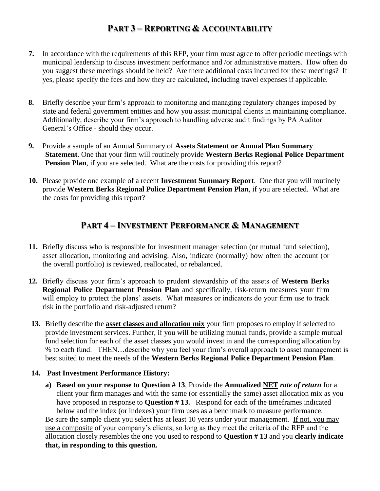# **PART 3 – REPORTING & ACCOUNTABILITY**

- **7.** In accordance with the requirements of this RFP, your firm must agree to offer periodic meetings with municipal leadership to discuss investment performance and /or administrative matters. How often do you suggest these meetings should be held? Are there additional costs incurred for these meetings? If yes, please specify the fees and how they are calculated, including travel expenses if applicable.
- **8.** Briefly describe your firm's approach to monitoring and managing regulatory changes imposed by state and federal government entities and how you assist municipal clients in maintaining compliance. Additionally, describe your firm's approach to handling adverse audit findings by PA Auditor General's Office - should they occur.
- **9.** Provide a sample of an Annual Summary of **Assets Statement or Annual Plan Summary Statement**. One that your firm will routinely provide **Western Berks Regional Police Department Pension Plan**, if you are selected. What are the costs for providing this report?
- **10.** Please provide one example of a recent **Investment Summary Report**. One that you will routinely provide **Western Berks Regional Police Department Pension Plan**, if you are selected. What are the costs for providing this report?

## **PART 4 – INVESTMENT PERFORMANCE & MANAGEMENT**

- **11.** Briefly discuss who is responsible for investment manager selection (or mutual fund selection), asset allocation, monitoring and advising. Also, indicate (normally) how often the account (or the overall portfolio) is reviewed, reallocated, or rebalanced.
- **12.** Briefly discuss your firm's approach to prudent stewardship of the assets of **Western Berks Regional Police Department Pension Plan** and specifically, risk-return measures your firm will employ to protect the plans' assets. What measures or indicators do your firm use to track risk in the portfolio and risk-adjusted return?
- **13.** Briefly describe the **asset classes and allocation mix** your firm proposes to employ if selected to provide investment services. Further, if you will be utilizing mutual funds, provide a sample mutual fund selection for each of the asset classes you would invest in and the corresponding allocation by % to each fund. THEN…describe why you feel your firm's overall approach to asset management is best suited to meet the needs of the **Western Berks Regional Police Department Pension Plan**.

#### **14. Past Investment Performance History:**

**a) Based on your response to Question # 13**, Provide the **Annualized NET** *rate of return* for a client your firm manages and with the same (or essentially the same) asset allocation mix as you have proposed in response to **Question # 13.** Respond for each of the timeframes indicated below and the index (or indexes) your firm uses as a benchmark to measure performance. Be sure the sample client you select has at least 10 years under your management. If not, you may use a composite of your company's clients, so long as they meet the criteria of the RFP and the allocation closely resembles the one you used to respond to **Question # 13** and you **clearly indicate that, in responding to this question.**